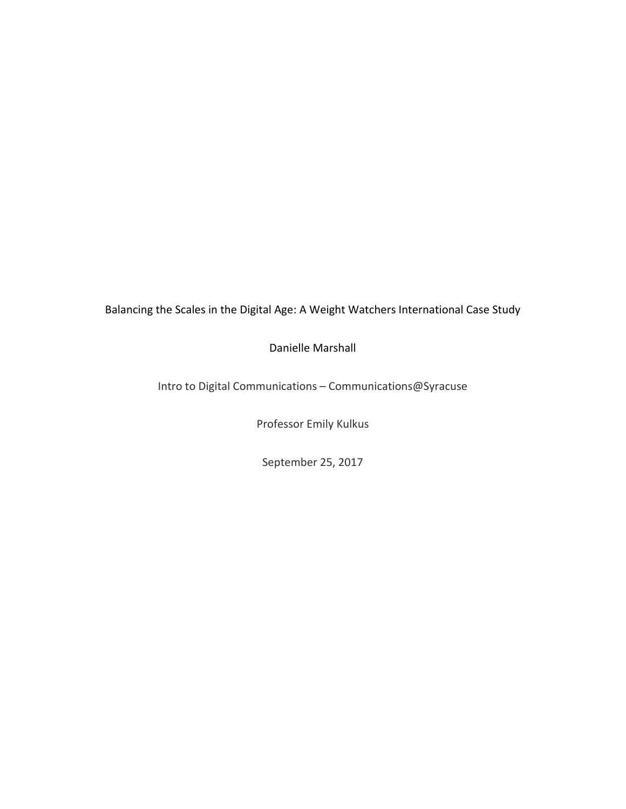Balancing the Scales in the Digital Age: A Weight Watchers International Case Study

Danielle Marshall

Intro to Digital Communications – Communications@Syracuse

Professor Emily Kulkus

September 25, 2017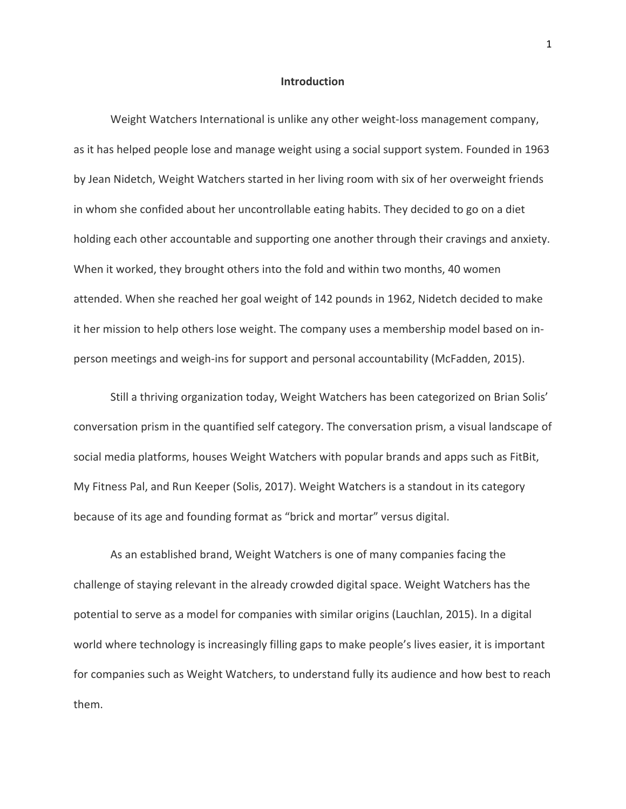### **Introduction**

Weight Watchers International is unlike any other weight-loss management company, as it has helped people lose and manage weight using a social support system. Founded in 1963 by Jean Nidetch, Weight Watchers started in her living room with six of her overweight friends in whom she confided about her uncontrollable eating habits. They decided to go on a diet holding each other accountable and supporting one another through their cravings and anxiety. When it worked, they brought others into the fold and within two months, 40 women attended. When she reached her goal weight of 142 pounds in 1962, Nidetch decided to make it her mission to help others lose weight. The company uses a membership model based on inperson meetings and weigh-ins for support and personal accountability (McFadden, 2015).

Still a thriving organization today, Weight Watchers has been categorized on Brian Solis' conversation prism in the quantified self category. The conversation prism, a visual landscape of social media platforms, houses Weight Watchers with popular brands and apps such as FitBit, My Fitness Pal, and Run Keeper (Solis, 2017). Weight Watchers is a standout in its category because of its age and founding format as "brick and mortar" versus digital.

As an established brand, Weight Watchers is one of many companies facing the challenge of staying relevant in the already crowded digital space. Weight Watchers has the potential to serve as a model for companies with similar origins (Lauchlan, 2015). In a digital world where technology is increasingly filling gaps to make people's lives easier, it is important for companies such as Weight Watchers, to understand fully its audience and how best to reach them.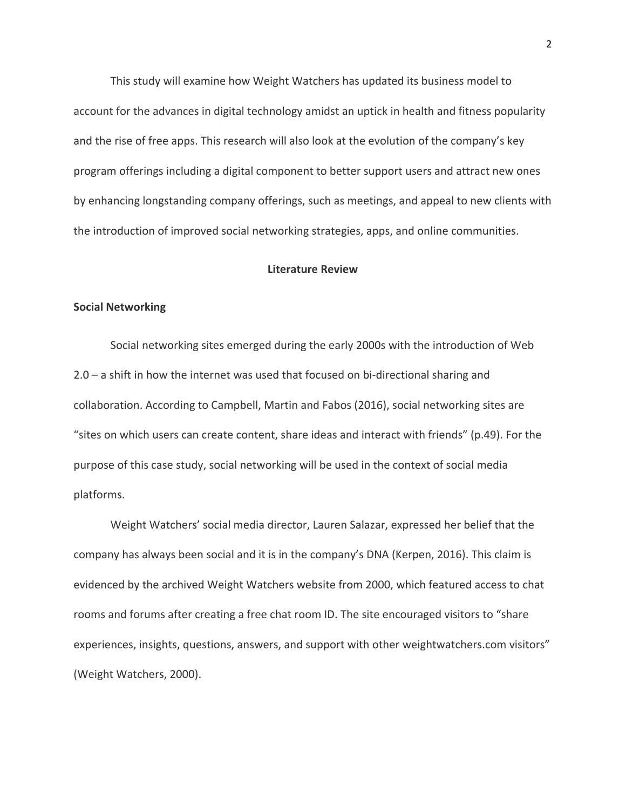This study will examine how Weight Watchers has updated its business model to account for the advances in digital technology amidst an uptick in health and fitness popularity and the rise of free apps. This research will also look at the evolution of the company's key program offerings including a digital component to better support users and attract new ones by enhancing longstanding company offerings, such as meetings, and appeal to new clients with the introduction of improved social networking strategies, apps, and online communities.

# **Literature Review**

#### **Social Networking**

Social networking sites emerged during the early 2000s with the introduction of Web 2.0 – a shift in how the internet was used that focused on bi-directional sharing and collaboration. According to Campbell, Martin and Fabos (2016), social networking sites are "sites on which users can create content, share ideas and interact with friends" (p.49). For the purpose of this case study, social networking will be used in the context of social media platforms.

Weight Watchers' social media director, Lauren Salazar, expressed her belief that the company has always been social and it is in the company's DNA (Kerpen, 2016). This claim is evidenced by the archived Weight Watchers website from 2000, which featured access to chat rooms and forums after creating a free chat room ID. The site encouraged visitors to "share experiences, insights, questions, answers, and support with other weightwatchers.com visitors" (Weight Watchers, 2000).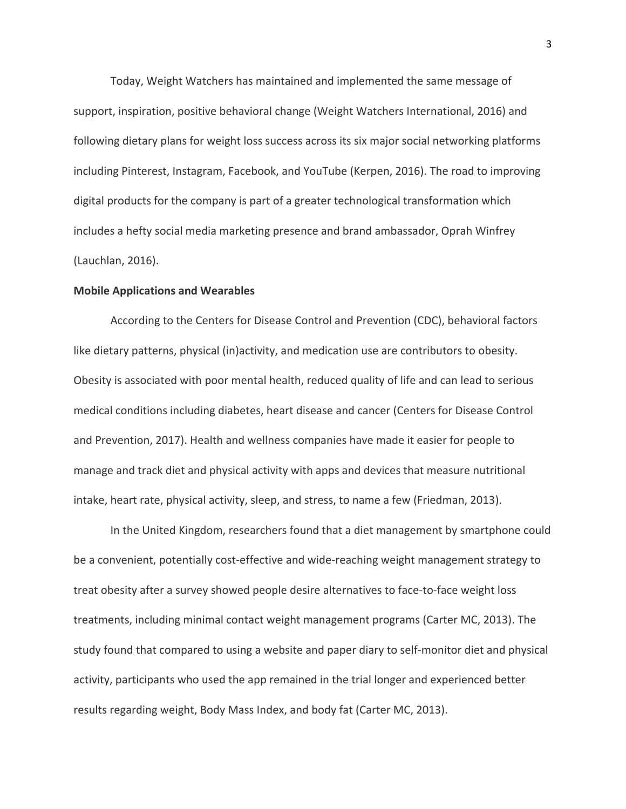Today, Weight Watchers has maintained and implemented the same message of support, inspiration, positive behavioral change (Weight Watchers International, 2016) and following dietary plans for weight loss success across its six major social networking platforms including Pinterest, Instagram, Facebook, and YouTube (Kerpen, 2016). The road to improving digital products for the company is part of a greater technological transformation which includes a hefty social media marketing presence and brand ambassador, Oprah Winfrey (Lauchlan, 2016).

#### **Mobile Applications and Wearables**

According to the Centers for Disease Control and Prevention (CDC), behavioral factors like dietary patterns, physical (in)activity, and medication use are contributors to obesity. Obesity is associated with poor mental health, reduced quality of life and can lead to serious medical conditions including diabetes, heart disease and cancer (Centers for Disease Control and Prevention, 2017). Health and wellness companies have made it easier for people to manage and track diet and physical activity with apps and devices that measure nutritional intake, heart rate, physical activity, sleep, and stress, to name a few (Friedman, 2013).

In the United Kingdom, researchers found that a diet management by smartphone could be a convenient, potentially cost-effective and wide-reaching weight management strategy to treat obesity after a survey showed people desire alternatives to face-to-face weight loss treatments, including minimal contact weight management programs (Carter MC, 2013). The study found that compared to using a website and paper diary to self-monitor diet and physical activity, participants who used the app remained in the trial longer and experienced better results regarding weight, Body Mass Index, and body fat (Carter MC, 2013).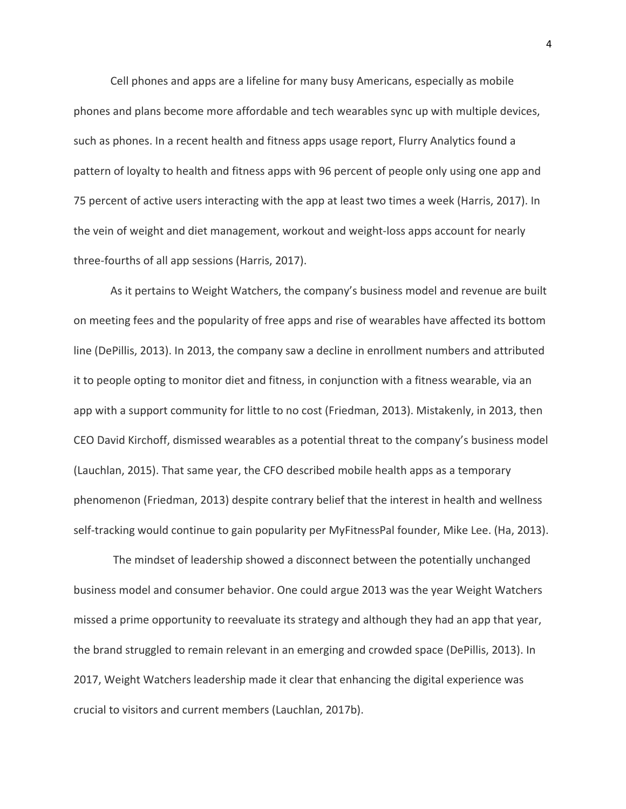Cell phones and apps are a lifeline for many busy Americans, especially as mobile phones and plans become more affordable and tech wearables sync up with multiple devices, such as phones. In a recent health and fitness apps usage report, Flurry Analytics found a pattern of loyalty to health and fitness apps with 96 percent of people only using one app and 75 percent of active users interacting with the app at least two times a week (Harris, 2017). In the vein of weight and diet management, workout and weight-loss apps account for nearly three-fourths of all app sessions (Harris, 2017).

As it pertains to Weight Watchers, the company's business model and revenue are built on meeting fees and the popularity of free apps and rise of wearables have affected its bottom line (DePillis, 2013). In 2013, the company saw a decline in enrollment numbers and attributed it to people opting to monitor diet and fitness, in conjunction with a fitness wearable, via an app with a support community for little to no cost (Friedman, 2013). Mistakenly, in 2013, then CEO David Kirchoff, dismissed wearables as a potential threat to the company's business model (Lauchlan, 2015). That same year, the CFO described mobile health apps as a temporary phenomenon (Friedman, 2013) despite contrary belief that the interest in health and wellness self-tracking would continue to gain popularity per MyFitnessPal founder, Mike Lee. (Ha, 2013).

The mindset of leadership showed a disconnect between the potentially unchanged business model and consumer behavior. One could argue 2013 was the year Weight Watchers missed a prime opportunity to reevaluate its strategy and although they had an app that year, the brand struggled to remain relevant in an emerging and crowded space (DePillis, 2013). In 2017, Weight Watchers leadership made it clear that enhancing the digital experience was crucial to visitors and current members (Lauchlan, 2017b).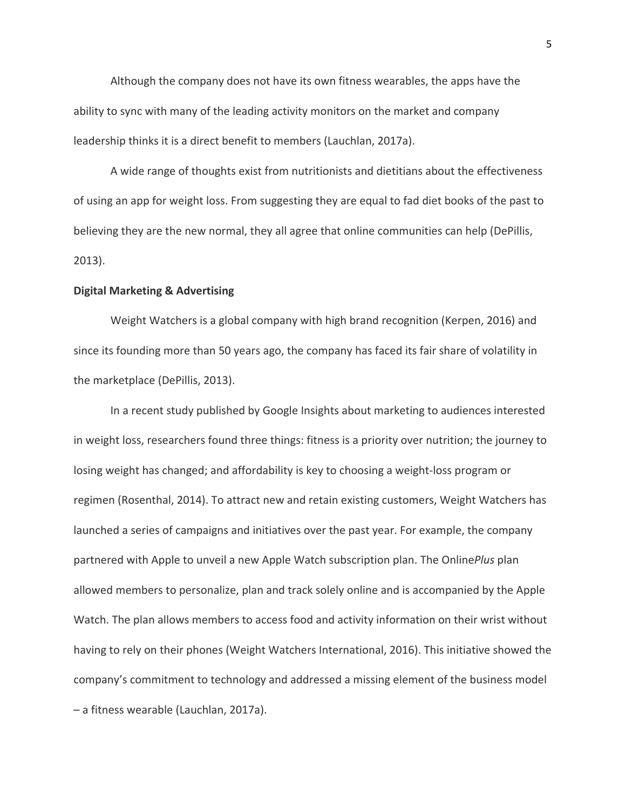Although the company does not have its own fitness wearables, the apps have the ability to sync with many of the leading activity monitors on the market and company leadership thinks it is a direct benefit to members (Lauchlan, 2017a).

A wide range of thoughts exist from nutritionists and dietitians about the effectiveness of using an app for weight loss. From suggesting they are equal to fad diet books of the past to believing they are the new normal, they all agree that online communities can help (DePillis, 2013).

#### **Digital Marketing & Advertising**

Weight Watchers is a global company with high brand recognition (Kerpen, 2016) and since its founding more than 50 years ago, the company has faced its fair share of volatility in the marketplace (DePillis, 2013).

In a recent study published by Google Insights about marketing to audiences interested in weight loss, researchers found three things: fitness is a priority over nutrition; the journey to losing weight has changed; and affordability is key to choosing a weight-loss program or regimen (Rosenthal, 2014). To attract new and retain existing customers, Weight Watchers has launched a series of campaigns and initiatives over the past year. For example, the company partnered with Apple to unveil a new Apple Watch subscription plan. The Online*Plus* plan allowed members to personalize, plan and track solely online and is accompanied by the Apple Watch. The plan allows members to access food and activity information on their wrist without having to rely on their phones (Weight Watchers International, 2016). This initiative showed the company's commitment to technology and addressed a missing element of the business model – a fitness wearable (Lauchlan, 2017a).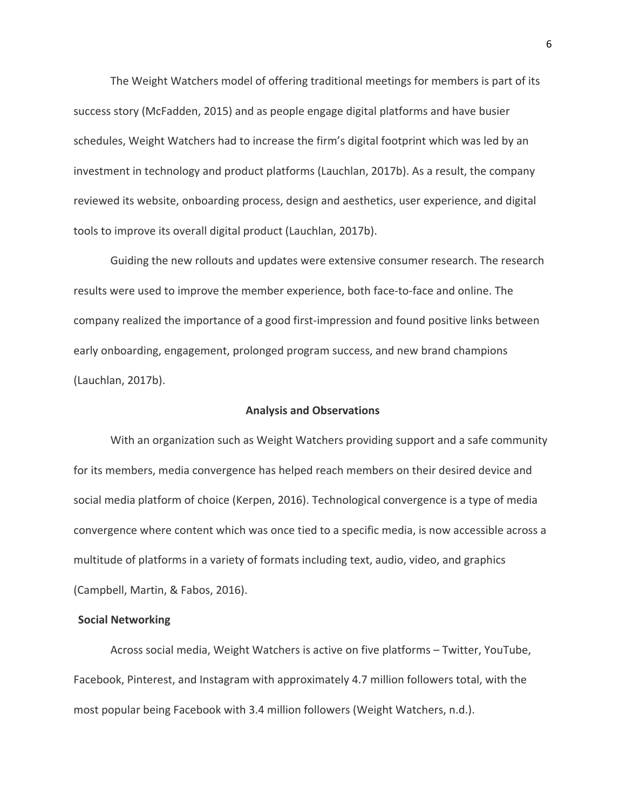The Weight Watchers model of offering traditional meetings for members is part of its success story (McFadden, 2015) and as people engage digital platforms and have busier schedules, Weight Watchers had to increase the firm's digital footprint which was led by an investment in technology and product platforms (Lauchlan, 2017b). As a result, the company reviewed its website, onboarding process, design and aesthetics, user experience, and digital tools to improve its overall digital product (Lauchlan, 2017b).

Guiding the new rollouts and updates were extensive consumer research. The research results were used to improve the member experience, both face-to-face and online. The company realized the importance of a good first-impression and found positive links between early onboarding, engagement, prolonged program success, and new brand champions (Lauchlan, 2017b).

# **Analysis and Observations**

With an organization such as Weight Watchers providing support and a safe community for its members, media convergence has helped reach members on their desired device and social media platform of choice (Kerpen, 2016). Technological convergence is a type of media convergence where content which was once tied to a specific media, is now accessible across a multitude of platforms in a variety of formats including text, audio, video, and graphics (Campbell, Martin, & Fabos, 2016).

### **Social Networking**

Across social media, Weight Watchers is active on five platforms – Twitter, YouTube, Facebook, Pinterest, and Instagram with approximately 4.7 million followers total, with the most popular being Facebook with 3.4 million followers (Weight Watchers, n.d.).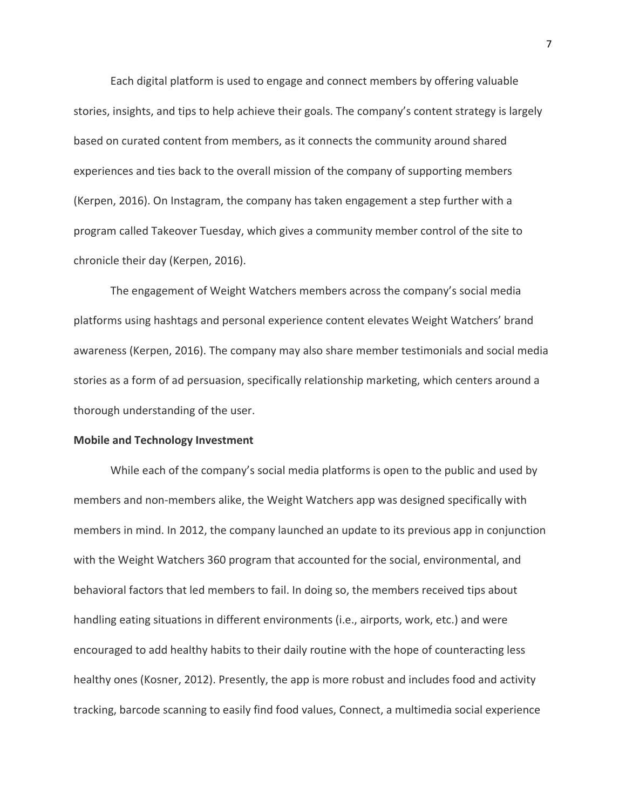Each digital platform is used to engage and connect members by offering valuable stories, insights, and tips to help achieve their goals. The company's content strategy is largely based on curated content from members, as it connects the community around shared experiences and ties back to the overall mission of the company of supporting members (Kerpen, 2016). On Instagram, the company has taken engagement a step further with a program called Takeover Tuesday, which gives a community member control of the site to chronicle their day (Kerpen, 2016).

The engagement of Weight Watchers members across the company's social media platforms using hashtags and personal experience content elevates Weight Watchers' brand awareness (Kerpen, 2016). The company may also share member testimonials and social media stories as a form of ad persuasion, specifically relationship marketing, which centers around a thorough understanding of the user.

## **Mobile and Technology Investment**

While each of the company's social media platforms is open to the public and used by members and non-members alike, the Weight Watchers app was designed specifically with members in mind. In 2012, the company launched an update to its previous app in conjunction with the Weight Watchers 360 program that accounted for the social, environmental, and behavioral factors that led members to fail. In doing so, the members received tips about handling eating situations in different environments (i.e., airports, work, etc.) and were encouraged to add healthy habits to their daily routine with the hope of counteracting less healthy ones (Kosner, 2012). Presently, the app is more robust and includes food and activity tracking, barcode scanning to easily find food values, Connect, a multimedia social experience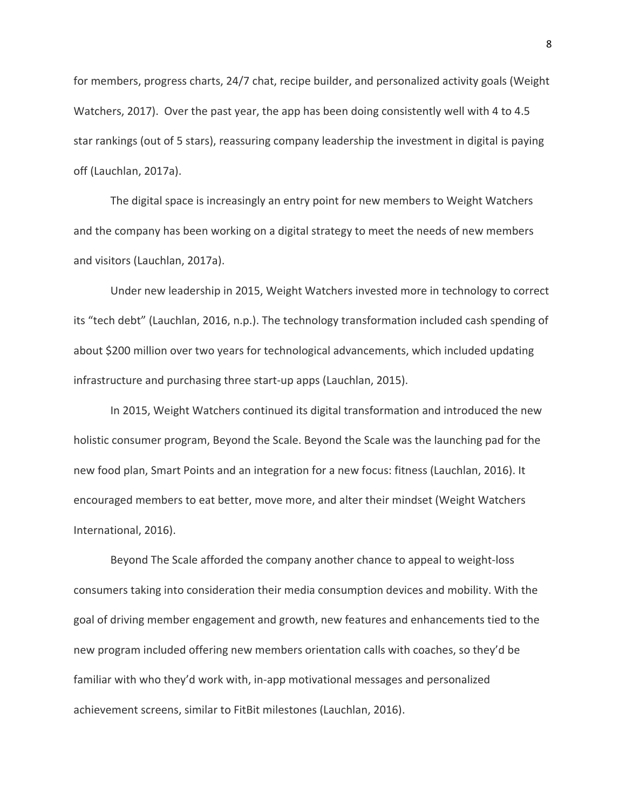for members, progress charts, 24/7 chat, recipe builder, and personalized activity goals (Weight Watchers, 2017). Over the past year, the app has been doing consistently well with 4 to 4.5 star rankings (out of 5 stars), reassuring company leadership the investment in digital is paying off (Lauchlan, 2017a).

The digital space is increasingly an entry point for new members to Weight Watchers and the company has been working on a digital strategy to meet the needs of new members and visitors (Lauchlan, 2017a).

Under new leadership in 2015, Weight Watchers invested more in technology to correct its "tech debt" (Lauchlan, 2016, n.p.). The technology transformation included cash spending of about \$200 million over two years for technological advancements, which included updating infrastructure and purchasing three start-up apps (Lauchlan, 2015).

In 2015, Weight Watchers continued its digital transformation and introduced the new holistic consumer program, Beyond the Scale. Beyond the Scale was the launching pad for the new food plan, Smart Points and an integration for a new focus: fitness (Lauchlan, 2016). It encouraged members to eat better, move more, and alter their mindset (Weight Watchers International, 2016).

Beyond The Scale afforded the company another chance to appeal to weight-loss consumers taking into consideration their media consumption devices and mobility. With the goal of driving member engagement and growth, new features and enhancements tied to the new program included offering new members orientation calls with coaches, so they'd be familiar with who they'd work with, in-app motivational messages and personalized achievement screens, similar to FitBit milestones (Lauchlan, 2016).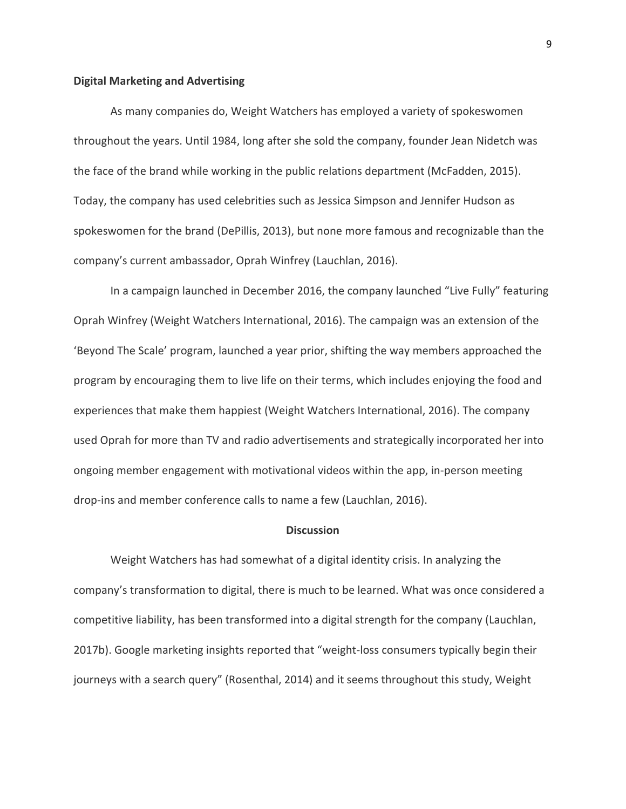### **Digital Marketing and Advertising**

As many companies do, Weight Watchers has employed a variety of spokeswomen throughout the years. Until 1984, long after she sold the company, founder Jean Nidetch was the face of the brand while working in the public relations department (McFadden, 2015). Today, the company has used celebrities such as Jessica Simpson and Jennifer Hudson as spokeswomen for the brand (DePillis, 2013), but none more famous and recognizable than the company's current ambassador, Oprah Winfrey (Lauchlan, 2016).

In a campaign launched in December 2016, the company launched "Live Fully" featuring Oprah Winfrey (Weight Watchers International, 2016). The campaign was an extension of the 'Beyond The Scale' program, launched a year prior, shifting the way members approached the program by encouraging them to live life on their terms, which includes enjoying the food and experiences that make them happiest (Weight Watchers International, 2016). The company used Oprah for more than TV and radio advertisements and strategically incorporated her into ongoing member engagement with motivational videos within the app, in-person meeting drop-ins and member conference calls to name a few (Lauchlan, 2016).

## **Discussion**

Weight Watchers has had somewhat of a digital identity crisis. In analyzing the company's transformation to digital, there is much to be learned. What was once considered a competitive liability, has been transformed into a digital strength for the company (Lauchlan, 2017b). Google marketing insights reported that "weight-loss consumers typically begin their journeys with a search query" (Rosenthal, 2014) and it seems throughout this study, Weight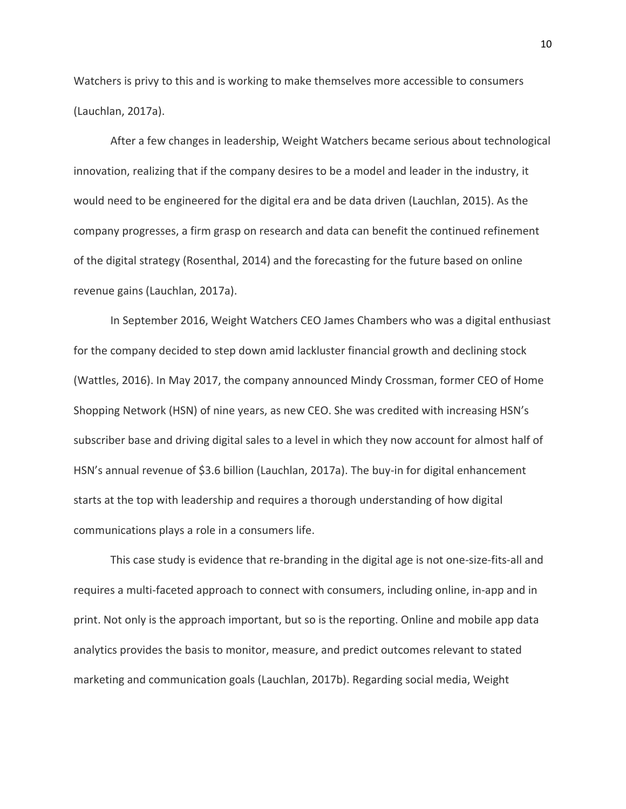Watchers is privy to this and is working to make themselves more accessible to consumers (Lauchlan, 2017a).

After a few changes in leadership, Weight Watchers became serious about technological innovation, realizing that if the company desires to be a model and leader in the industry, it would need to be engineered for the digital era and be data driven (Lauchlan, 2015). As the company progresses, a firm grasp on research and data can benefit the continued refinement of the digital strategy (Rosenthal, 2014) and the forecasting for the future based on online revenue gains (Lauchlan, 2017a).

In September 2016, Weight Watchers CEO James Chambers who was a digital enthusiast for the company decided to step down amid lackluster financial growth and declining stock (Wattles, 2016). In May 2017, the company announced Mindy Crossman, former CEO of Home Shopping Network (HSN) of nine years, as new CEO. She was credited with increasing HSN's subscriber base and driving digital sales to a level in which they now account for almost half of HSN's annual revenue of \$3.6 billion (Lauchlan, 2017a). The buy-in for digital enhancement starts at the top with leadership and requires a thorough understanding of how digital communications plays a role in a consumers life.

This case study is evidence that re-branding in the digital age is not one-size-fits-all and requires a multi-faceted approach to connect with consumers, including online, in-app and in print. Not only is the approach important, but so is the reporting. Online and mobile app data analytics provides the basis to monitor, measure, and predict outcomes relevant to stated marketing and communication goals (Lauchlan, 2017b). Regarding social media, Weight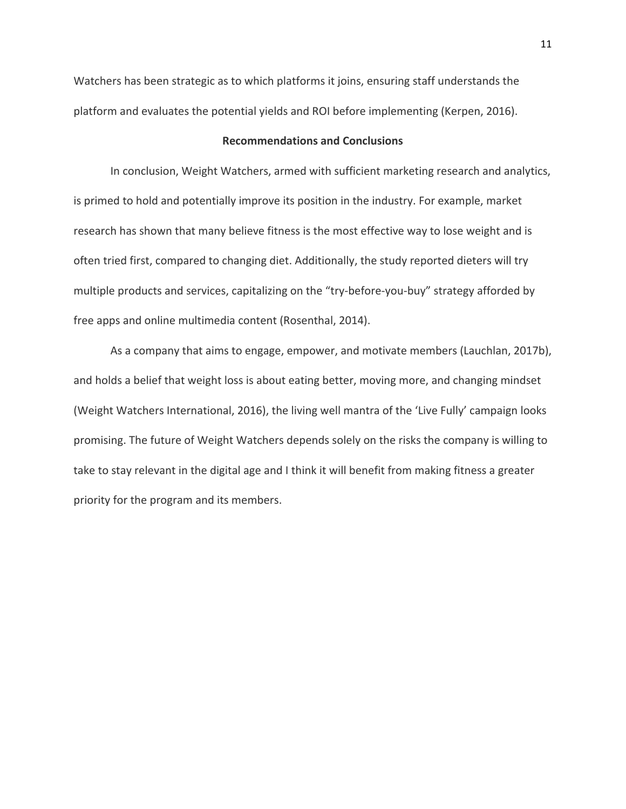Watchers has been strategic as to which platforms it joins, ensuring staff understands the platform and evaluates the potential yields and ROI before implementing (Kerpen, 2016).

# **Recommendations and Conclusions**

In conclusion, Weight Watchers, armed with sufficient marketing research and analytics, is primed to hold and potentially improve its position in the industry. For example, market research has shown that many believe fitness is the most effective way to lose weight and is often tried first, compared to changing diet. Additionally, the study reported dieters will try multiple products and services, capitalizing on the "try-before-you-buy" strategy afforded by free apps and online multimedia content (Rosenthal, 2014).

As a company that aims to engage, empower, and motivate members (Lauchlan, 2017b), and holds a belief that weight loss is about eating better, moving more, and changing mindset (Weight Watchers International, 2016), the living well mantra of the 'Live Fully' campaign looks promising. The future of Weight Watchers depends solely on the risks the company is willing to take to stay relevant in the digital age and I think it will benefit from making fitness a greater priority for the program and its members.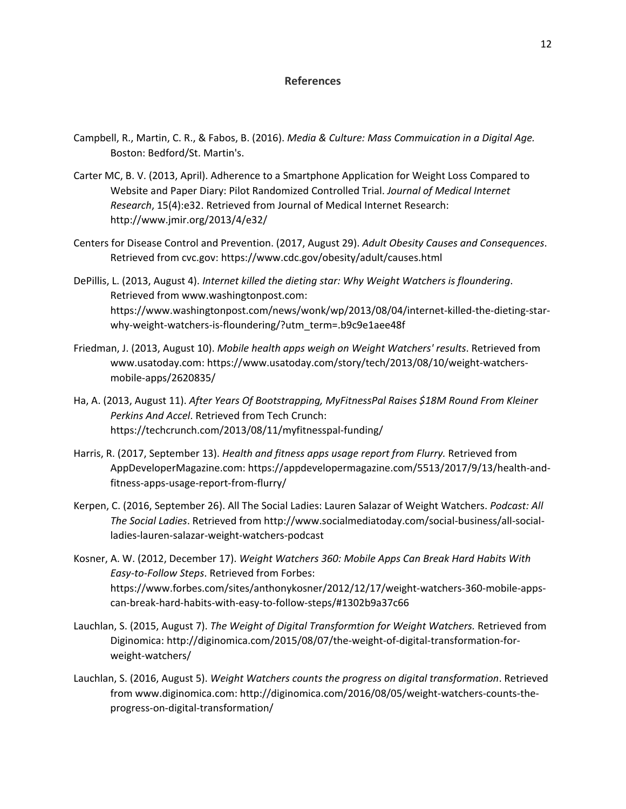### **References**

- Campbell, R., Martin, C. R., & Fabos, B. (2016). *Media & Culture: Mass Commuication in a Digital Age.* Boston: Bedford/St. Martin's.
- Carter MC, B. V. (2013, April). Adherence to a Smartphone Application for Weight Loss Compared to Website and Paper Diary: Pilot Randomized Controlled Trial. *Journal of Medical Internet Research*, 15(4):e32. Retrieved from Journal of Medical Internet Research: http://www.jmir.org/2013/4/e32/
- Centers for Disease Control and Prevention. (2017, August 29). *Adult Obesity Causes and Consequences*. Retrieved from cvc.gov: https://www.cdc.gov/obesity/adult/causes.html
- DePillis, L. (2013, August 4). *Internet killed the dieting star: Why Weight Watchers is floundering*. Retrieved from www.washingtonpost.com: https://www.washingtonpost.com/news/wonk/wp/2013/08/04/internet-killed-the-dieting-starwhy-weight-watchers-is-floundering/?utm\_term=.b9c9e1aee48f
- Friedman, J. (2013, August 10). *Mobile health apps weigh on Weight Watchers' results*. Retrieved from www.usatoday.com: https://www.usatoday.com/story/tech/2013/08/10/weight-watchersmobile-apps/2620835/
- Ha, A. (2013, August 11). *After Years Of Bootstrapping, MyFitnessPal Raises \$18M Round From Kleiner Perkins And Accel*. Retrieved from Tech Crunch: https://techcrunch.com/2013/08/11/myfitnesspal-funding/
- Harris, R. (2017, September 13). *Health and fitness apps usage report from Flurry.* Retrieved from AppDeveloperMagazine.com: https://appdevelopermagazine.com/5513/2017/9/13/health-andfitness-apps-usage-report-from-flurry/
- Kerpen, C. (2016, September 26). All The Social Ladies: Lauren Salazar of Weight Watchers. *Podcast: All The Social Ladies*. Retrieved from http://www.socialmediatoday.com/social-business/all-socialladies-lauren-salazar-weight-watchers-podcast
- Kosner, A. W. (2012, December 17). *Weight Watchers 360: Mobile Apps Can Break Hard Habits With Easy-to-Follow Steps*. Retrieved from Forbes: https://www.forbes.com/sites/anthonykosner/2012/12/17/weight-watchers-360-mobile-appscan-break-hard-habits-with-easy-to-follow-steps/#1302b9a37c66
- Lauchlan, S. (2015, August 7). *The Weight of Digital Transformtion for Weight Watchers.* Retrieved from Diginomica: http://diginomica.com/2015/08/07/the-weight-of-digital-transformation-forweight-watchers/
- Lauchlan, S. (2016, August 5). *Weight Watchers counts the progress on digital transformation*. Retrieved from www.diginomica.com: http://diginomica.com/2016/08/05/weight-watchers-counts-theprogress-on-digital-transformation/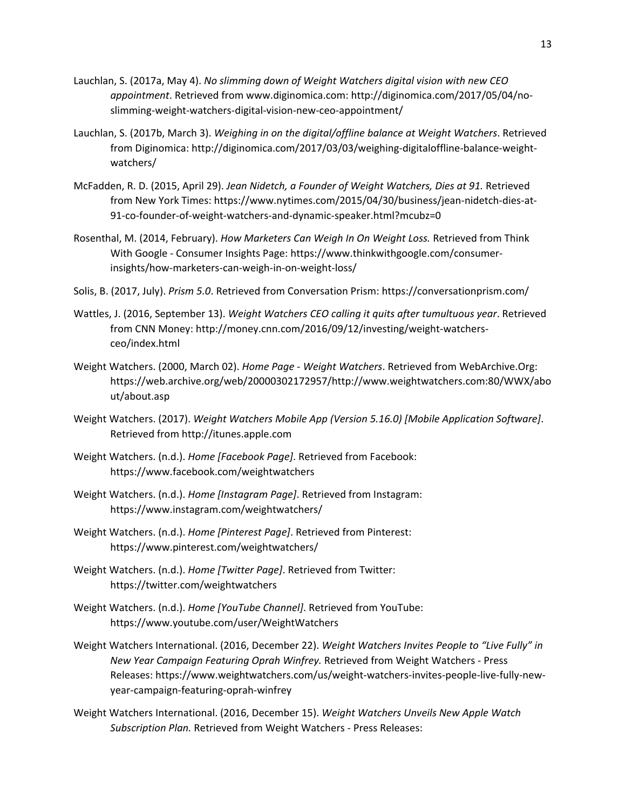- Lauchlan, S. (2017a, May 4). *No slimming down of Weight Watchers digital vision with new CEO appointment*. Retrieved from www.diginomica.com: http://diginomica.com/2017/05/04/noslimming-weight-watchers-digital-vision-new-ceo-appointment/
- Lauchlan, S. (2017b, March 3). *Weighing in on the digital/offline balance at Weight Watchers*. Retrieved from Diginomica: http://diginomica.com/2017/03/03/weighing-digitaloffline-balance-weightwatchers/
- McFadden, R. D. (2015, April 29). *Jean Nidetch, a Founder of Weight Watchers, Dies at 91.* Retrieved from New York Times: https://www.nytimes.com/2015/04/30/business/jean-nidetch-dies-at-91-co-founder-of-weight-watchers-and-dynamic-speaker.html?mcubz=0
- Rosenthal, M. (2014, February). *How Marketers Can Weigh In On Weight Loss.* Retrieved from Think With Google - Consumer Insights Page: https://www.thinkwithgoogle.com/consumerinsights/how-marketers-can-weigh-in-on-weight-loss/
- Solis, B. (2017, July). *Prism 5.0*. Retrieved from Conversation Prism: https://conversationprism.com/
- Wattles, J. (2016, September 13). *Weight Watchers CEO calling it quits after tumultuous year*. Retrieved from CNN Money: http://money.cnn.com/2016/09/12/investing/weight-watchersceo/index.html
- Weight Watchers. (2000, March 02). *Home Page - Weight Watchers*. Retrieved from WebArchive.Org: https://web.archive.org/web/20000302172957/http://www.weightwatchers.com:80/WWX/abo ut/about.asp
- Weight Watchers. (2017). *Weight Watchers Mobile App (Version 5.16.0) [Mobile Application Software]*. Retrieved from http://itunes.apple.com
- Weight Watchers. (n.d.). *Home [Facebook Page]*. Retrieved from Facebook: https://www.facebook.com/weightwatchers
- Weight Watchers. (n.d.). *Home [Instagram Page]*. Retrieved from Instagram: https://www.instagram.com/weightwatchers/
- Weight Watchers. (n.d.). *Home [Pinterest Page]*. Retrieved from Pinterest: https://www.pinterest.com/weightwatchers/
- Weight Watchers. (n.d.). *Home [Twitter Page]*. Retrieved from Twitter: https://twitter.com/weightwatchers
- Weight Watchers. (n.d.). *Home [YouTube Channel]*. Retrieved from YouTube: https://www.youtube.com/user/WeightWatchers
- Weight Watchers International. (2016, December 22). *Weight Watchers Invites People to "Live Fully" in New Year Campaign Featuring Oprah Winfrey.* Retrieved from Weight Watchers - Press Releases: https://www.weightwatchers.com/us/weight-watchers-invites-people-live-fully-newyear-campaign-featuring-oprah-winfrey
- Weight Watchers International. (2016, December 15). *Weight Watchers Unveils New Apple Watch Subscription Plan.* Retrieved from Weight Watchers - Press Releases: